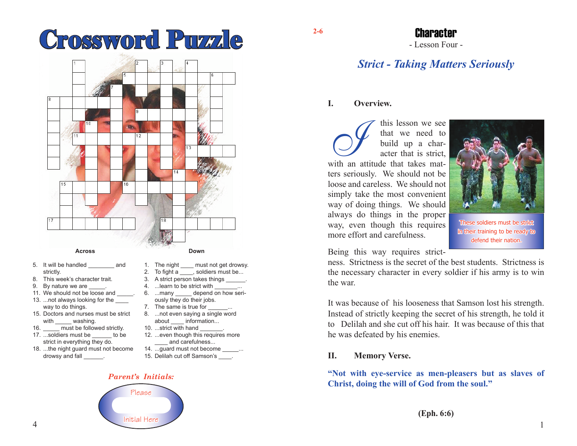# **Crossword Puzzle 2-6**



- 5. It will be handled \_\_\_\_\_\_\_\_ and strictly.
- 8. This week's character trait.
- 9. By nature we are 11. We should not be loose and
- 13. ...not always looking for the
- way to do things. 15. Doctors and nurses must be strict
- with washing.
- 16. must be followed strictly.
- 17. ...soldiers must be to be strict in everything they do.
- 18. ...the night guard must not become drowsy and fall  $\qquad \qquad$ .
- 1. The night \_\_\_\_ must not get drowsy.
- 2. To fight a \_\_\_\_, soldiers must be...
- 3. A strict person takes things \_\_\_\_\_\_. 4. ... learn to be strict with
- 6. ...many depend on how seriously they do their jobs.
- 7. The same is true for 8. ...not even saying a single word
- about information...
- 10. ...strict with hand
- 12. ...even though this requires more and carefulness...
- 14. ...guard must not become \_\_\_\_\_...
- 15. Delilah cut off Samson's \_\_\_\_.

#### *Parent's Initials:*



## Character

- Lesson Four -

## *Strict - Taking Matters Seriously*

#### **I. Overview.**

this lesson we see<br>that we need to<br>build up a char-<br>acter that is strict,<br>with an attitude that takes matthat we need to build up a character that is strict, ters seriously. We should not be loose and careless. We should not simply take the most convenient way of doing things. We should always do things in the proper way, even though this requires more effort and carefulness.



These soldiers must be strict in their training to be ready to defend their nation.

Being this way requires strict-

ness. Strictness is the secret of the best students. Strictness is the necessary character in every soldier if his army is to win the war.

It was because of his looseness that Samson lost his strength. Instead of strictly keeping the secret of his strength, he told it to Delilah and she cut off his hair. It was because of this that he was defeated by his enemies.

#### **II. Memory Verse.**

**"Not with eye-service as men-pleasers but as slaves of Christ, doing the will of God from the soul."**